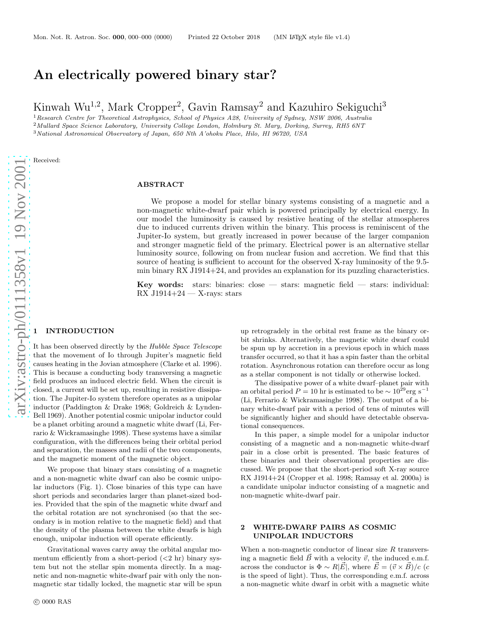# An electrically powered binary star?

Kinwah Wu<sup>1,2</sup>, Mark Cropper<sup>2</sup>, Gavin Ramsay<sup>2</sup> and Kazuhiro Sekiguchi<sup>3</sup>

<sup>1</sup> Research Centre for Theoretical Astrophysics, School of Physics A28, University of Sydney, NSW 2006, Australia <sup>2</sup>Mullard Space Science Laboratory, University College London, Holmbury St. Mary, Dorking, Surrey, RH5 6NT

<sup>3</sup>National Astronomical Observatory of Japan, 650 Nth A'ohoku Place, Hilo, HI 96720, USA

Received:

#### ABSTRACT

We propose a model for stellar binary systems consisting of a magnetic and a non-magnetic white-dwarf pair which is powered principally by electrical energy. In our model the luminosity is caused by resistive heating of the stellar atmospheres due to induced currents driven within the binary. This process is reminiscent of the Jupiter-Io system, but greatly increased in power because of the larger companion and stronger magnetic field of the primary. Electrical power is an alternative stellar luminosity source, following on from nuclear fusion and accretion. We find that this source of heating is sufficient to account for the observed X-ray luminosity of the 9.5 min binary RX J1914+24, and provides an explanation for its puzzling characteristics.

Key words: stars: binaries: close — stars: magnetic field — stars: individual:  $RX$  J1914+24 — X-rays: stars

#### **INTRODUCTION**

It has been observed directly by the Hubble Space Telescope that the movement of Io through Jupiter's magnetic field causes heating in the Jovian atmosphere (Clarke et al. 1996) . This is because a conducting body transversing a magnetic field produces an induced electric field. When the circuit is closed, a current will be set up, resulting in resistive dissipation. The Jupiter-Io system therefore operates as a unipolar inductor (Paddington & Drake 1968; Goldreich & Lynden-Bell 1969). Another potential cosmic unipolar inductor could be a planet orbiting around a magnetic white dwarf (Li, Ferrario & Wickramasinghe 1998). These systems have a similar configuration, with the differences being their orbital period and separation, the masses and radii of the two components, and the magnetic moment of the magnetic object.

We propose that binary stars consisting of a magnetic and a non-magnetic white dwarf can also be cosmic unipolar inductors (Fig. 1). Close binaries of this type can have short periods and secondaries larger than planet-sized bod ies. Provided that the spin of the magnetic white dwarf and the orbital rotation are not synchronised (so that the secondary is in motion relative to the magnetic field) and that the density of the plasma between the white dwarfs is high enough, unipolar induction will operate efficiently.

Gravitational waves carry away the orbital angular momentum efficiently from a short-period  $( $2 \text{ hr}$ ) binary sys$ tem but not the stellar spin momenta directly. In a magnetic and non-magnetic white-dwarf pair with only the nonmagnetic star tidally locked, the magnetic star will be spun up retrogradely in the orbital rest frame as the binary orbit shrinks. Alternatively, the magnetic white dwarf could be spun up by accretion in a previous epoch in which mass transfer occurred, so that it has a spin faster than the orbital rotation. Asynchronous rotation can therefore occur as lon g as a stellar component is not tidally or otherwise locked.

The dissipative power of a white dwarf–planet pair with an orbital period  $P = 10$  hr is estimated to be  $\sim 10^{29}$  erg s<sup>-1</sup> (Li, Ferrario & Wickramasinghe 1998). The output of a binary white-dwarf pair with a period of tens of minutes will be significantly higher and should have detectable observational consequences.

In this paper, a simple model for a unipolar inductor consisting of a magnetic and a non-magnetic white-dwarf pair in a close orbit is presented. The basic features of these binaries and their observational properties are discussed. We propose that the short-period soft X-ray source RX J1914+24 (Cropper et al. 1998; Ramsay et al. 2000a) is a candidate unipolar inductor consisting of a magnetic and non-magnetic white-dwarf pair.

## 2 WHITE-DWARF PAIRS AS COSMIC UNIPOLAR INDUCTORS

When a non-magnetic conductor of linear size  $R$  transversing a magnetic field  $\vec{B}$  with a velocity  $\vec{v}$ , the induced e.m.f. across the conductor is  $\Phi \sim R|\vec{E}|$ , where  $\vec{E} = (\vec{v} \times \vec{B})/c$  (c is the speed of light). Thus, the corresponding e.m.f. acros s a non-magnetic white dwarf in orbit with a magnetic white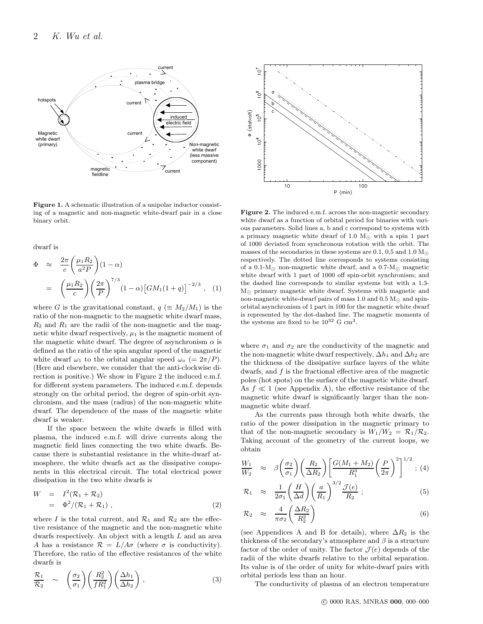

Figure 1. A schematic illustration of a unipolar inductor consisting of a magnetic and non-magnetic white-dwarf pair in a close binary orbit.

dwarf is

$$
\Phi \approx \frac{2\pi}{c} \left(\frac{\mu_1 R_2}{a^2 P}\right) (1 - \alpha)
$$
  
= 
$$
\left(\frac{\mu_1 R_2}{c}\right) \left(\frac{2\pi}{P}\right)^{7/3} (1 - \alpha) \left[GM_1(1+q)\right]^{-2/3}, (1)
$$

where G is the gravitational constant,  $q \in M_2/M_1$ ) is the ratio of the non-magnetic to the magnetic white dwarf mass,  $R_2$  and  $R_1$  are the radii of the non-magnetic and the magnetic white dwarf respectively,  $\mu_1$  is the magnetic moment of the magnetic white dwarf. The degree of asynchronism  $\alpha$  is defined as the ratio of the spin angular speed of the magnetic white dwarf  $\omega_1$  to the orbital angular speed  $\omega_0$  (=  $2\pi/P$ ). (Here and elsewhere, we consider that the anti-clockwise direction is positive.) We show in Figure 2 the induced e.m.f. for different system parameters. The induced e.m.f. depends strongly on the orbital period, the degree of spin-orbit synchronism, and the mass (radius) of the non-magnetic white dwarf. The dependence of the mass of the magnetic white dwarf is weaker.

If the space between the white dwarfs is filled with plasma, the induced e.m.f. will drive currents along the magnetic field lines connecting the two white dwarfs. Because there is substantial resistance in the white-dwarf atmosphere, the white dwarfs act as the dissipative components in this electrical circuit. The total electrical power dissipation in the two white dwarfs is

$$
W = I2(\mathcal{R}_1 + \mathcal{R}_2)
$$
  
=  $\Phi^2/(\mathcal{R}_1 + \mathcal{R}_1)$ , (2)

where I is the total current, and  $\mathcal{R}_1$  and  $\mathcal{R}_2$  are the effective resistance of the magnetic and the non-magnetic white dwarfs respectively. An object with a length L and an area A has a resistance  $\mathcal{R} = L/A\sigma$  (where  $\sigma$  is conductivity). Therefore, the ratio of the effective resistances of the white dwarfs is

$$
\frac{\mathcal{R}_1}{\mathcal{R}_2} \sim \left(\frac{\sigma_2}{\sigma_1}\right) \left(\frac{R_2^2}{fR_1^2}\right) \left(\frac{\Delta h_1}{\Delta h_2}\right),\tag{3}
$$



Figure 2. The induced e.m.f. across the non-magnetic secondary white dwarf as a function of orbital period for binaries with various parameters. Solid lines a, b and c correspond to systems with a primary magnetic white dwarf of 1.0  $M_{\odot}$  with a spin 1 part of 1000 deviated from synchronous rotation with the orbit. The masses of the secondaries in these systems are 0.1, 0,5 and 1.0  $M_{\odot}$ respectively. The dotted line corresponds to systems consisting of a 0.1- $M_{\odot}$  non-magnetic white dwarf, and a 0.7- $M_{\odot}$  magnetic white dwarf with 1 part of 1000 off spin-orbit synchronism; and the dashed line corresponds to similar systems but with a 1.3- M⊙ primary magnetic white dwarf. Systems with magnetic and non-magnetic white-dwarf pairs of mass 1.0 and 0.5  $M_{\odot}$  and spinorbital asynchronism of 1 part in 100 for the magnetic white dwarf is represented by the dot-dashed line. The magnetic moments of the systems are fixed to be  $10^{32}$  G cm<sup>3</sup>.

where  $\sigma_1$  and  $\sigma_2$  are the conductivity of the magnetic and the non-magnetic white dwarf respectively,  $\Delta h_1$  and  $\Delta h_2$  are the thickness of the dissipative surface layers of the white dwarfs, and  $f$  is the fractional effective area of the magnetic poles (hot spots) on the surface of the magnetic white dwarf. As  $f \ll 1$  (see Appendix A), the effective resistance of the magnetic white dwarf is significantly larger than the nonmagnetic white dwarf.

As the currents pass through both white dwarfs, the ratio of the power dissipation in the magnetic primary to that of the non-magnetic secondary is  $W_1/W_2 = \mathcal{R}_1/\mathcal{R}_2$ . Taking account of the geometry of the current loops, we obtain

$$
\frac{W_1}{W_2} \approx \beta \left(\frac{\sigma_2}{\sigma_1}\right) \left(\frac{R_2}{\Delta R_2}\right) \left[\frac{G(M_1 + M_2)}{R_1^3} \left(\frac{P}{2\pi}\right)^2\right]^{1/2};
$$
 (4)

$$
\mathcal{R}_1 \quad \approx \quad \frac{1}{2\sigma_1} \left( \frac{H}{\Delta d} \right) \left( \frac{a}{R_1} \right)^{3/2} \frac{\mathcal{J}(e)}{R_2} \; ; \tag{5}
$$

$$
\mathcal{R}_2 \approx \frac{4}{\pi \sigma_2} \left( \frac{\Delta R_2}{R_2^2} \right) \tag{6}
$$

(see Appendices A and B for details), where  $\Delta R_2$  is the thickness of the secondary's atmosphere and  $\beta$  is a structure factor of the order of unity. The factor  $\mathcal{J}(e)$  depends of the radii of the white dwarfs relative to the orbital separation. Its value is of the order of unity for white-dwarf pairs with orbital periods less than an hour.

The conductivity of plasma of an electron temperature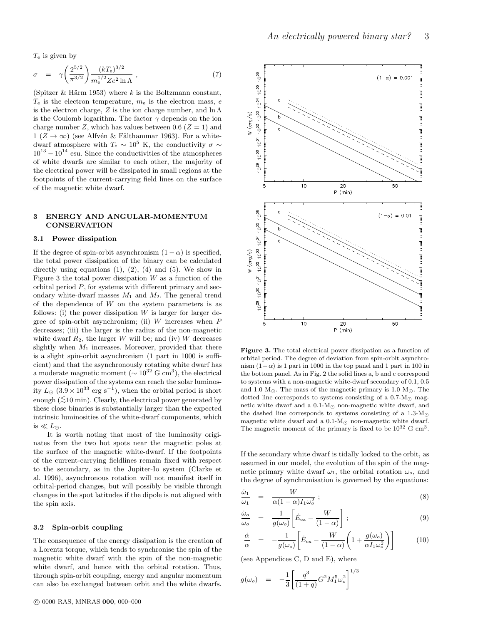$T_e$  is given by

$$
\sigma = \gamma \left( \frac{2^{5/2}}{\pi^{3/2}} \right) \frac{(kT_{\rm e})^{3/2}}{m_{\rm e}^{1/2} Z e^2 \ln \Lambda} , \qquad (7)
$$

(Spitzer & Härm 1953) where k is the Boltzmann constant,  $T_e$  is the electron temperature,  $m_e$  is the electron mass, e is the electron charge, Z is the ion charge number, and  $\ln \Lambda$ is the Coulomb logarithm. The factor  $\gamma$  depends on the ion charge number Z, which has values between 0.6 ( $Z = 1$ ) and  $1 (Z \rightarrow \infty)$  (see Alfvén & Fälthammar 1963). For a whitedwarf atmosphere with  $T_e \sim 10^5$  K, the conductivity  $\sigma \sim$  $10^{13} - 10^{14}$  esu. Since the conductivities of the atmospheres of white dwarfs are similar to each other, the majority of the electrical power will be dissipated in small regions at the footpoints of the current-carrying field lines on the surface of the magnetic white dwarf.

## 3 ENERGY AND ANGULAR-MOMENTUM CONSERVATION

#### 3.1 Power dissipation

If the degree of spin-orbit asynchronism  $(1 - \alpha)$  is specified, the total power dissipation of the binary can be calculated directly using equations  $(1)$ ,  $(2)$ ,  $(4)$  and  $(5)$ . We show in Figure 3 the total power dissipation  $W$  as a function of the orbital period  $P$ , for systems with different primary and secondary white-dwarf masses  $M_1$  and  $M_2$ . The general trend of the dependence of  $W$  on the system parameters is as follows: (i) the power dissipation  $W$  is larger for larger degree of spin-orbit asynchronism; (ii)  $W$  increases when  $P$ decreases; (iii) the larger is the radius of the non-magnetic white dwarf  $R_2$ , the larger W will be; and (iv) W decreases slightly when  $M_1$  increases. Moreover, provided that there is a slight spin-orbit asynchronism (1 part in 1000 is sufficient) and that the asynchronously rotating white dwarf has a moderate magnetic moment ( $\sim 10^{32}$  G cm<sup>3</sup>), the electrical power dissipation of the systems can reach the solar luminosity  $L_{\odot}$  (3.9 × 10<sup>33</sup> erg s<sup>-1</sup>), when the orbital period is short enough  $(\leq 10 \text{ min})$ . Clearly, the electrical power generated by these close binaries is substantially larger than the expected intrinsic luminosities of the white-dwarf components, which is  $\ll L_{\odot}$ .

It is worth noting that most of the luminosity originates from the two hot spots near the magnetic poles at the surface of the magnetic white-dwarf. If the footpoints of the current-carrying fieldlines remain fixed with respect to the secondary, as in the Jupiter-Io system (Clarke et al. 1996), asynchronous rotation will not manifest itself in orbital-period changes, but will possibly be visible through changes in the spot latitudes if the dipole is not aligned with the spin axis.

#### 3.2 Spin-orbit coupling

The consequence of the energy dissipation is the creation of a Lorentz torque, which tends to synchronise the spin of the magnetic white dwarf with the spin of the non-magnetic white dwarf, and hence with the orbital rotation. Thus, through spin-orbit coupling, energy and angular momentum can also be exchanged between orbit and the white dwarfs.



Figure 3. The total electrical power dissipation as a function of orbital period. The degree of deviation from spin-orbit asynchronism  $(1-\alpha)$  is 1 part in 1000 in the top panel and 1 part in 100 in the bottom panel. As in Fig. 2 the solid lines a, b and c correspond to systems with a non-magnetic white-dwarf secondary of 0.1, 0.5 and 1.0  $M_{\odot}$ . The mass of the magnetic primary is 1.0  $M_{\odot}$ . The dotted line corresponds to systems consisting of a  $0.7\text{-M}_{\odot}$  magnetic white dwarf and a  $0.1-M_{\odot}$  non-magnetic white dwarf, and the dashed line corresponds to systems consisting of a  $1.3\text{-M}_{\odot}$ magnetic white dwarf and a  $0.1-M<sub>©</sub>$  non-magnetic white dwarf. The magnetic moment of the primary is fixed to be  $10^{32}$  G cm<sup>3</sup>.

If the secondary white dwarf is tidally locked to the orbit, as assumed in our model, the evolution of the spin of the magnetic primary white dwarf  $\omega_1$ , the orbital rotation  $\omega_0$ , and the degree of synchronisation is governed by the equations:

$$
\frac{\dot{\omega}_1}{\omega_1} = \frac{W}{\alpha (1 - \alpha) I_1 \omega_o^2};\tag{8}
$$

$$
\frac{\dot{\omega}_o}{\omega_o} = \frac{1}{g(\omega_o)} \left[ \dot{E}_{\text{ex}} - \frac{W}{(1-\alpha)} \right];\tag{9}
$$

$$
\frac{\dot{\alpha}}{\alpha} = -\frac{1}{g(\omega_o)} \left[ \dot{E}_{\text{ex}} - \frac{W}{(1-\alpha)} \left( 1 + \frac{g(\omega_o)}{\alpha I_1 \omega_o^2} \right) \right]
$$
(10)

(see Appendices C, D and E), where

$$
g(\omega_o) = -\frac{1}{3} \left[ \frac{q^3}{(1+q)} G^2 M_1^5 \omega_o^2 \right]^{1/3}
$$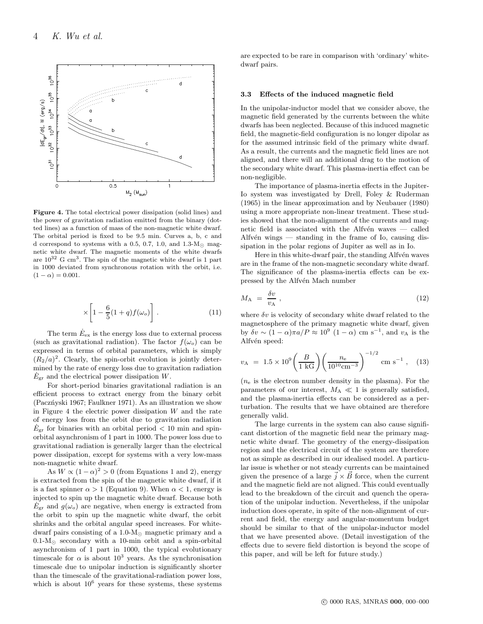

Figure 4. The total electrical power dissipation (solid lines) and the power of gravitation radiation emitted from the binary (dotted lines) as a function of mass of the non-magnetic white dwarf. The orbital period is fixed to be 9.5 min. Curves a, b, c and d correspond to systems with a 0.5, 0.7, 1.0, and 1.3- $M_{\odot}$  magnetic white dwarf. The magnetic moments of the white dwarfs are  $10^{32}$  G cm<sup>3</sup>. The spin of the magnetic white dwarf is 1 part in 1000 deviated from synchronous rotation with the orbit, i.e.  $(1 - \alpha) = 0.001$ .

$$
\times \left[1 - \frac{6}{5}(1+q)f(\omega_o)\right].
$$
 (11)

The term  $\dot{E}_{\rm ex}$  is the energy loss due to external process (such as gravitational radiation). The factor  $f(\omega_o)$  can be expressed in terms of orbital parameters, which is simply  $(R_2/a)^2$ . Clearly, the spin-orbit evolution is jointly determined by the rate of energy loss due to gravitation radiation  $\dot{E}_{\rm gr}$  and the electrical power dissipation W.

For short-period binaries gravitational radiation is an efficient process to extract energy from the binary orbit (Paczńyski 1967; Faulkner 1971). As an illustration we show in Figure 4 the electric power dissipation  $W$  and the rate of energy loss from the orbit due to gravitation radiation  $\dot{E}_{\text{gr}}$  for binaries with an orbital period  $< 10$  min and spinorbital asynchronism of 1 part in 1000. The power loss due to gravitational radiation is generally larger than the electrical power dissipation, except for systems with a very low-mass non-magnetic white dwarf.

As  $W \propto (1-\alpha)^2 > 0$  (from Equations 1 and 2), energy is extracted from the spin of the magnetic white dwarf, if it is a fast spinner  $\alpha > 1$  (Equation 9). When  $\alpha < 1$ , energy is injected to spin up the magnetic white dwarf. Because both  $E_{\text{gr}}$  and  $g(\omega_o)$  are negative, when energy is extracted from the orbit to spin up the magnetic white dwarf, the orbit shrinks and the orbital angular speed increases. For whitedwarf pairs consisting of a 1.0-M<sup>⊙</sup> magnetic primary and a 0.1-M<sup>⊙</sup> secondary with a 10-min orbit and a spin-orbital asynchronism of 1 part in 1000, the typical evolutionary timescale for  $\alpha$  is about  $10^3$  years. As the synchronisation timescale due to unipolar induction is significantly shorter than the timescale of the gravitational-radiation power loss, which is about  $10^6$  years for these systems, these systems

are expected to be rare in comparison with 'ordinary' whitedwarf pairs.

#### 3.3 Effects of the induced magnetic field

In the unipolar-inductor model that we consider above, the magnetic field generated by the currents between the white dwarfs has been neglected. Because of this induced magnetic field, the magnetic-field configuration is no longer dipolar as for the assumed intrinsic field of the primary white dwarf. As a result, the currents and the magnetic field lines are not aligned, and there will an additional drag to the motion of the secondary white dwarf. This plasma-inertia effect can be non-negligible.

The importance of plasma-inertia effects in the Jupiter-Io system was investigated by Drell, Foley & Ruderman (1965) in the linear approximation and by Neubauer (1980) using a more appropriate non-linear treatment. These studies showed that the non-alignment of the currents and magnetic field is associated with the Alfvén waves  $-$  called Alfv $\acute{e}n$  wings — standing in the frame of Io, causing dissipation in the polar regions of Jupiter as well as in Io.

Here in this white-dwarf pair, the standing Alfvén waves are in the frame of the non-magnetic secondary white dwarf. The significance of the plasma-inertia effects can be expressed by the Alfvén Mach number

$$
M_{\rm A} = \frac{\delta v}{v_{\rm A}}\,,\tag{12}
$$

where  $\delta v$  is velocity of secondary white dwarf related to the magnetosphere of the primary magnetic white dwarf, given by  $\delta v \sim (1 - \alpha)\pi a / P \approx 10^9 (1 - \alpha) \text{ cm s}^{-1}$ , and  $v_A$  is the Alfvén speed:

$$
v_{\rm A} = 1.5 \times 10^9 \left( \frac{B}{1 \text{ kG}} \right) \left( \frac{n_{\rm e}}{10^{10} \text{cm}^{-3}} \right)^{-1/2} \text{ cm s}^{-1} , \quad (13)
$$

 $(n_e)$  is the electron number density in the plasma). For the parameters of our interest,  $M_A \ll 1$  is generally satisfied, and the plasma-inertia effects can be considered as a perturbation. The results that we have obtained are therefore generally valid.

The large currents in the system can also cause significant distortion of the magnetic field near the primary magnetic white dwarf. The geometry of the energy-dissipation region and the electrical circuit of the system are therefore not as simple as described in our idealised model. A particular issue is whether or not steady currents can be maintained given the presence of a large  $\vec{j} \times \vec{B}$  force, when the current and the magnetic field are not aligned. This could eventually lead to the breakdown of the circuit and quench the operation of the unipolar induction. Nevertheless, if the unipolar induction does operate, in spite of the non-alignment of current and field, the energy and angular-momentum budget should be similar to that of the unipolar-inductor model that we have presented above. (Detail investigation of the effects due to severe field distortion is beyond the scope of this paper, and will be left for future study.)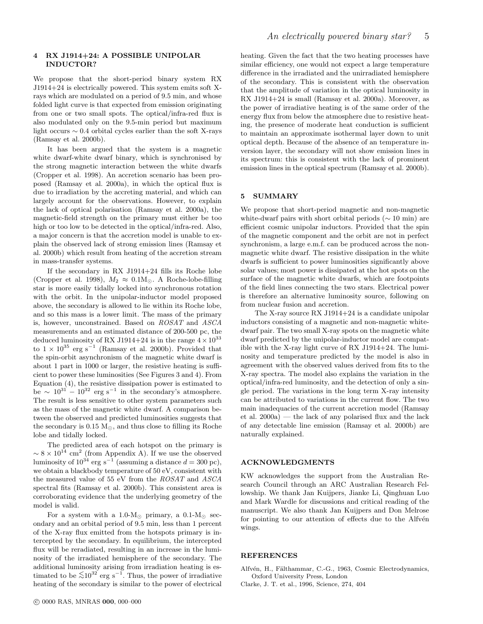## 4 RX J1914+24: A POSSIBLE UNIPOLAR INDUCTOR?

We propose that the short-period binary system RX J1914+24 is electrically powered. This system emits soft Xrays which are modulated on a period of 9.5 min, and whose folded light curve is that expected from emission originating from one or two small spots. The optical/infra-red flux is also modulated only on the 9.5-min period but maximum light occurs ∼ 0.4 orbital cycles earlier than the soft X-rays (Ramsay et al. 2000b).

It has been argued that the system is a magnetic white dwarf-white dwarf binary, which is synchronised by the strong magnetic interaction between the white dwarfs (Cropper et al. 1998). An accretion scenario has been proposed (Ramsay et al. 2000a), in which the optical flux is due to irradiation by the accreting material, and which can largely account for the observations. However, to explain the lack of optical polarisation (Ramsay et al. 2000a), the magnetic-field strength on the primary must either be too high or too low to be detected in the optical/infra-red. Also, a major concern is that the accretion model is unable to explain the observed lack of strong emission lines (Ramsay et al. 2000b) which result from heating of the accretion stream in mass-transfer systems.

If the secondary in RX J1914+24 fills its Roche lobe (Cropper et al. 1998),  $M_2 \approx 0.1 M_{\odot}$ . A Roche-lobe-filling star is more easily tidally locked into synchronous rotation with the orbit. In the unipolar-inductor model proposed above, the secondary is allowed to lie within its Roche lobe, and so this mass is a lower limit. The mass of the primary is, however, unconstrained. Based on ROSAT and ASCA measurements and an estimated distance of 200-500 pc, the deduced luminosity of RX J1914+24 is in the range  $4 \times 10^{33}$ to  $1 \times 10^{35}$  erg s<sup>-1</sup> (Ramsay et al. 2000b). Provided that the spin-orbit asynchronism of the magnetic white dwarf is about 1 part in 1000 or larger, the resistive heating is sufficient to power these luminosities (See Figures 3 and 4). From Equation (4), the resistive dissipation power is estimated to be  $\sim 10^{31} - 10^{32}$  erg s<sup>-1</sup> in the secondary's atmosphere. The result is less sensitive to other system parameters such as the mass of the magnetic white dwarf. A comparison between the observed and predicted luminosities suggests that the secondary is  $0.15 M_{\odot}$ , and thus close to filling its Roche lobe and tidally locked.

The predicted area of each hotspot on the primary is  $\sim 8 \times 10^{14}$  cm<sup>2</sup> (from Appendix A). If we use the observed luminosity of  $10^{34}$  erg s<sup>-1</sup> (assuming a distance  $d = 300$  pc), we obtain a blackbody temperature of 50 eV, consistent with the measured value of 55 eV from the ROSAT and ASCA spectral fits (Ramsay et al. 2000b). This consistent area is corroborating evidence that the underlying geometry of the model is valid.

For a system with a 1.0- $M_{\odot}$  primary, a 0.1- $M_{\odot}$  secondary and an orbital period of 9.5 min, less than 1 percent of the X-ray flux emitted from the hotspots primary is intercepted by the secondary. In equilibrium, the intercepted flux will be reradiated, resulting in an increase in the luminosity of the irradiated hemisphere of the secondary. The additional luminosity arising from irradiation heating is estimated to be  $\lesssim 10^{32}$  erg s<sup>−1</sup>. Thus, the power of irradiative heating of the secondary is similar to the power of electrical

heating. Given the fact that the two heating processes have similar efficiency, one would not expect a large temperature difference in the irradiated and the unirradiated hemisphere of the secondary. This is consistent with the observation that the amplitude of variation in the optical luminosity in RX J1914+24 is small (Ramsay et al. 2000a). Moreover, as the power of irradiative heating is of the same order of the energy flux from below the atmosphere due to resistive heating, the presence of moderate heat conduction is sufficient to maintain an approximate isothermal layer down to unit optical depth. Because of the absence of an temperature inversion layer, the secondary will not show emission lines in its spectrum: this is consistent with the lack of prominent emission lines in the optical spectrum (Ramsay et al. 2000b).

## 5 SUMMARY

We propose that short-period magnetic and non-magnetic white-dwarf pairs with short orbital periods ( $\sim 10$  min) are efficient cosmic unipolar inductors. Provided that the spin of the magnetic component and the orbit are not in perfect synchronism, a large e.m.f. can be produced across the nonmagnetic white dwarf. The resistive dissipation in the white dwarfs is sufficient to power luminosities significantly above solar values; most power is dissipated at the hot spots on the surface of the magnetic white dwarfs, which are footpoints of the field lines connecting the two stars. Electrical power is therefore an alternative luminosity source, following on from nuclear fusion and accretion.

The X-ray source RX J1914+24 is a candidate unipolar inductors consisting of a magnetic and non-magnetic whitedwarf pair. The two small X-ray spots on the magnetic white dwarf predicted by the unipolar-inductor model are compatible with the X-ray light curve of RX J1914+24. The luminosity and temperature predicted by the model is also in agreement with the observed values derived from fits to the X-ray spectra. The model also explains the variation in the optical/infra-red luminosity, and the detection of only a single period. The variations in the long term X-ray intensity can be attributed to variations in the current flow. The two main inadequacies of the current accretion model (Ramsay et al. 2000a) — the lack of any polarised flux and the lack of any detectable line emission (Ramsay et al. 2000b) are naturally explained.

#### ACKNOWLEDGMENTS

KW acknowledges the support from the Australian Research Council through an ARC Australian Research Fellowship. We thank Jan Kuijpers, Jianke Li, Qinghuan Luo and Mark Wardle for discussions and critical reading of the manuscript. We also thank Jan Kuijpers and Don Melrose for pointing to our attention of effects due to the Alfvén wings.

#### REFERENCES

Alfvén, H., Fälthammar, C.-G., 1963, Cosmic Electrodynamics, Oxford University Press, London

Clarke, J. T. et al., 1996, Science, 274, 404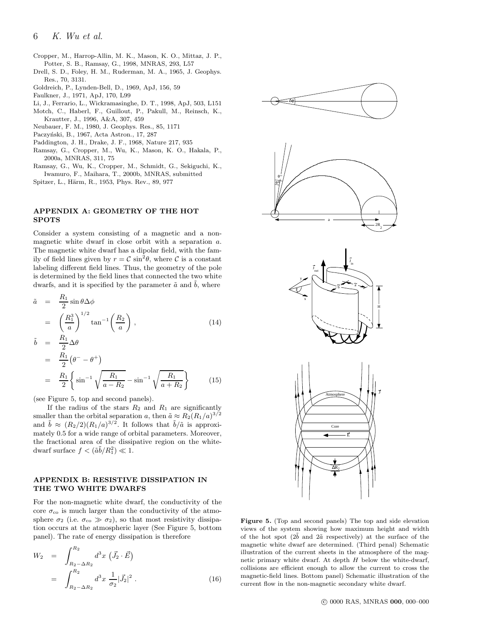- Cropper, M., Harrop-Allin, M. K., Mason, K. O., Mittaz, J. P., Potter, S. B., Ramsay, G., 1998, MNRAS, 293, L57
- Drell, S. D., Foley, H. M., Ruderman, M. A., 1965, J. Geophys. Res., 70, 3131.
- Goldreich, P., Lynden-Bell, D., 1969, ApJ, 156, 59
- Faulkner, J., 1971, ApJ, 170, L99
- Li, J., Ferrario, L., Wickramasinghe, D. T., 1998, ApJ, 503, L151 Motch, C., Haberl, F., Guillout, P., Pakull, M., Reinsch, K.,
- Krautter, J., 1996, A&A, 307, 459
- Neubauer, F. M., 1980, J. Geophys. Res., 85, 1171
- Paczyński, B., 1967, Acta Astron., 17, 287
- Paddington, J. H., Drake, J. F., 1968, Nature 217, 935
- Ramsay, G., Cropper, M., Wu, K., Mason, K. O., Hakala, P., 2000a, MNRAS, 311, 75
- Ramsay, G., Wu, K., Cropper, M., Schmidt, G., Sekiguchi, K., Iwamuro, F., Maihara, T., 2000b, MNRAS, submitted
- Spitzer, L., Härm, R., 1953, Phys. Rev., 89, 977

## APPENDIX A: GEOMETRY OF THE HOT SPOTS

Consider a system consisting of a magnetic and a nonmagnetic white dwarf in close orbit with a separation a. The magnetic white dwarf has a dipolar field, with the family of field lines given by  $r = C \sin^2 \theta$ , where C is a constant labeling different field lines. Thus, the geometry of the pole is determined by the field lines that connected the two white dwarfs, and it is specified by the parameter  $\tilde{a}$  and  $\tilde{b}$ , where

$$
\tilde{a} = \frac{R_1}{2} \sin \theta \Delta \phi
$$
\n
$$
= \left(\frac{R_1^3}{a}\right)^{1/2} \tan^{-1} \left(\frac{R_2}{a}\right), \tag{14}
$$
\n
$$
\tilde{t} = R_1 \Delta \theta
$$

$$
\tilde{b} = \frac{R_1}{2} \Delta \theta \n= \frac{R_1}{2} (\theta^- - \theta^+) \n= \frac{R_1}{2} \left\{ \sin^{-1} \sqrt{\frac{R_1}{a - R_2}} - \sin^{-1} \sqrt{\frac{R_1}{a + R_2}} \right\}
$$
\n(15)

(see Figure 5, top and second panels).

If the radius of the stars  $R_2$  and  $R_1$  are significantly smaller than the orbital separation a, then  $\tilde{a} \approx R_2 (R_1/a)^{3/2}$ and  $\tilde{b} \approx (R_2/2)(R_1/a)^{3/2}$ . It follows that  $\tilde{b}/\tilde{a}$  is approximately 0.5 for a wide range of orbital parameters. Moreover, the fractional area of the dissipative region on the whitedwarf surface  $f < (\tilde{a}\tilde{b}/R_1^2) \ll 1$ .

## APPENDIX B: RESISTIVE DISSIPATION IN THE TWO WHITE DWARFS

For the non-magnetic white dwarf, the conductivity of the core  $\sigma_{\rm co}$  is much larger than the conductivity of the atmosphere  $\sigma_2$  (i.e.  $\sigma_{\rm co} \gg \sigma_2$ ), so that most resistivity dissipation occurs at the atmospheric layer (See Figure 5, bottom panel). The rate of energy dissipation is therefore

$$
W_2 = \int_{R_2 - \Delta R_2}^{R_2} d^3x \left( \vec{J}_2 \cdot \vec{E} \right)
$$
  
= 
$$
\int_{R_2 - \Delta R_2}^{R_2} d^3x \frac{1}{\sigma_2} |\vec{J}_2|^2.
$$
 (16)



Figure 5. (Top and second panels) The top and side elevation views of the system showing how maximum height and width of the hot spot  $(2\tilde{b}$  and  $2\tilde{a}$  respectively) at the surface of the magnetic white dwarf are determined. (Third penal) Schematic illustration of the current sheets in the atmosphere of the magnetic primary white dwarf. At depth  $H$  below the white-dwarf, collisions are efficient enough to allow the current to cross the magnetic-field lines. Bottom panel) Schematic illustration of the current flow in the non-magnetic secondary white dwarf.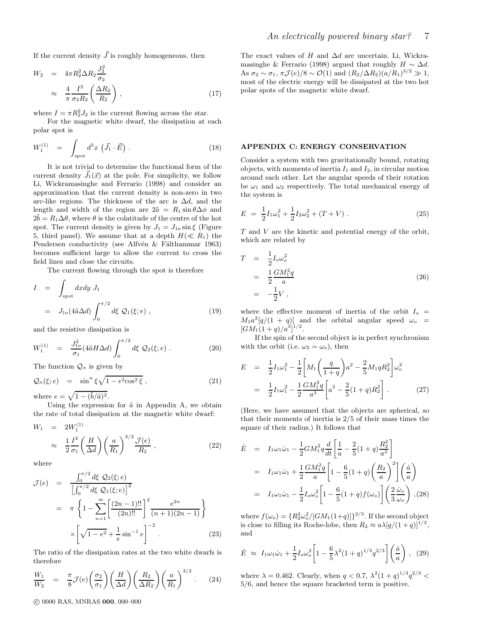If the current density  $\vec{J}$  is roughly homogeneous, then

$$
W_2 = 4\pi R_2^2 \Delta R_2 \frac{J_2^2}{\sigma_2}
$$
  

$$
\approx \frac{4}{\pi} \frac{I^2}{\sigma_2 R_2} \left(\frac{\Delta R_2}{R_2}\right), \qquad (17)
$$

where  $I = \pi R_2^2 J_2$  is the current flowing across the star.

For the magnetic white dwarf, the dissipation at each polar spot is

$$
W_1^{(1)} = \int_{\text{spot}} d^3x \left( \vec{J}_1 \cdot \vec{E} \right) . \tag{18}
$$

It is not trivial to determine the functional form of the current density  $\vec{J}_1(\vec{x})$  at the pole. For simplicity, we follow Li, Wickramasinghe and Ferrario (1998) and consider an approximation that the current density is non-zero in two arc-like regions. The thickness of the arc is  $\Delta d$ , and the length and width of the region are  $2\tilde{a} = R_1 \sin \theta \Delta \phi$  and  $2b = R_1\Delta\theta$ , where  $\theta$  is the colatitude of the centre of the hot spot. The current density is given by  $J_1 = J_{1o} \sin \xi$  (Figure 5, third panel). We assume that at a depth  $H(\ll R_1)$  the Pendersen conductivity (see Alfvén & Fälthammar 1963) becomes sufficient large to allow the current to cross the field lines and close the circuits.

The current flowing through the spot is therefore

$$
I = \int_{\text{spot}} dx dy J_1
$$
  
=  $J_{10}(4\tilde{a}\Delta d) \int_0^{\pi/2} d\xi \mathcal{Q}_1(\xi; e)$ , (19)

and the resistive dissipation is

$$
W_1^{(1)} = \frac{J_{1o}^2}{\sigma_1} (4\tilde{a}H\Delta d) \int_0^{\pi/2} d\xi \, \mathcal{Q}_2(\xi; e) \,. \tag{20}
$$

The function  $\mathcal{Q}_n$  is given by

$$
\mathcal{Q}_n(\xi; e) = \sin^n \xi \sqrt{1 - e^2 \cos^2 \xi} , \qquad (21)
$$

where  $e = \sqrt{1 - (\tilde{b}/\tilde{a})^2}$ .

Using the expression for  $\tilde{a}$  in Appendix A, we obtain the rate of total dissipation at the magnetic white dwarf:

$$
W_1 = 2W_1^{(1)} \n\approx \frac{1}{2} \frac{I^2}{\sigma_1} \left( \frac{H}{\Delta d} \right) \left( \frac{a}{R_1} \right)^{3/2} \frac{\mathcal{J}(e)}{R_2} ,
$$
\n(22)

where

$$
\mathcal{J}(e) = \frac{\int_0^{\pi/2} d\xi \ \mathcal{Q}_2(\xi; e)}{\left[\int_0^{\pi/2} d\xi \ \mathcal{Q}_1(\xi; e)\right]^2} \n= \pi \left\{ 1 - \sum_{n=1}^{\infty} \left[\frac{(2n-1)!!}{(2n)!!}\right]^2 \frac{e^{2n}}{(n+1)(2n-1)} \right\} \n\times \left[\sqrt{1 - e^2} + \frac{1}{e} \sin^{-1} e\right]^{-2}.
$$
\n(23)

The ratio of the dissipation rates at the two white dwarfs is therefore

$$
\frac{W_1}{W_2} = \frac{\pi}{8} \mathcal{J}(e) \left(\frac{\sigma_2}{\sigma_1}\right) \left(\frac{H}{\Delta d}\right) \left(\frac{R_2}{\Delta R_2}\right) \left(\frac{a}{R_1}\right)^{3/2} . \tag{24}
$$

The exact values of H and  $\Delta d$  are uncertain. Li, Wickramasinghe & Ferrario (1998) argued that roughly  $H \sim \Delta d$ . As  $\sigma_2 \sim \sigma_1$ ,  $\pi \mathcal{J}(e)/8 \sim \mathcal{O}(1)$  and  $(R_2/\Delta R_2)(a/R_1)^{3/2} \gg 1$ , most of the electric energy will be dissipated at the two hot polar spots of the magnetic white dwarf.

#### APPENDIX C: ENERGY CONSERVATION

Consider a system with two gravitationally bound, rotating objects, with moments of inertia  $I_1$  and  $I_2$ , in circular motion around each other. Let the angular speeds of their rotation be  $\omega_1$  and  $\omega_2$  respectively. The total mechanical energy of the system is

$$
E = \frac{1}{2}I_1\omega_1^2 + \frac{1}{2}I_2\omega_2^2 + (T + V) . \tag{25}
$$

T and V are the kinetic and potential energy of the orbit, which are related by

$$
T = \frac{1}{2} I_o \omega_o^2
$$
  
=  $\frac{1}{2} \frac{GM_1^2 q}{a}$   
=  $-\frac{1}{2} V$ , (26)

where the effective moment of inertia of the orbit  $I_o$  =  $M_1a^2[q/(1+q)]$  and the orbital angular speed  $\omega_o$  =  $[GM_1(1+q)/a^3]^{1/2}.$ 

If the spin of the second object is in perfect synchronism with the orbit (i.e.  $\omega_2 = \omega_o$ ), then

$$
E = \frac{1}{2}I_1\omega_1^2 - \frac{1}{2}\left[M_1\left(\frac{q}{1+q}\right)a^2 - \frac{2}{5}M_1qR_2^2\right]\omega_o^2
$$
  

$$
= \frac{1}{2}I_1\omega_1^2 - \frac{1}{2}\frac{GM_1^2q}{a^3}\left[a^2 - \frac{2}{5}(1+q)R_2^2\right].
$$
 (27)

(Here, we have assumed that the objects are spherical, so that their moments of inertia is 2/5 of their mass times the square of their radius.) It follows that

$$
\dot{E} = I_1 \omega_1 \dot{\omega}_1 - \frac{1}{2} G M_1^2 q \frac{d}{dt} \left[ \frac{1}{a} - \frac{2}{5} (1+q) \frac{R_2^2}{a^3} \right]
$$
\n
$$
= I_1 \omega_1 \dot{\omega}_1 + \frac{1}{2} \frac{G M_1^2 q}{a} \left[ 1 - \frac{6}{5} (1+q) \left( \frac{R_2}{a} \right)^2 \right] \left( \frac{\dot{a}}{a} \right)
$$
\n
$$
= I_1 \omega_1 \dot{\omega}_1 - \frac{1}{2} I_0 \omega_o^2 \left[ 1 - \frac{6}{5} (1+q) f(\omega_o) \right] \left( \frac{2}{3} \frac{\dot{\omega}_o}{\omega_o} \right), (28)
$$

where  $f(\omega_o) = \{R_2^3 \omega_o^2 / [GM_1(1+q)]\}^{2/3}$ . If the second object is close to filling its Roche-lobe, then  $R_2 \approx a\lambda[q/(1+q)]^{1/3}$ , and

$$
\dot{E} \approx I_1 \omega_1 \dot{\omega}_1 + \frac{1}{2} I_o \omega_o^2 \left[ 1 - \frac{6}{5} \lambda^2 (1+q)^{1/3} q^{2/3} \right] \left( \frac{\dot{a}}{a} \right) , \tag{29}
$$

where  $\lambda = 0.462$ . Clearly, when  $q < 0.7$ ,  $\lambda^2 (1 + q)^{1/3} q^{2/3}$ 5/6, and hence the square bracketed term is positive.